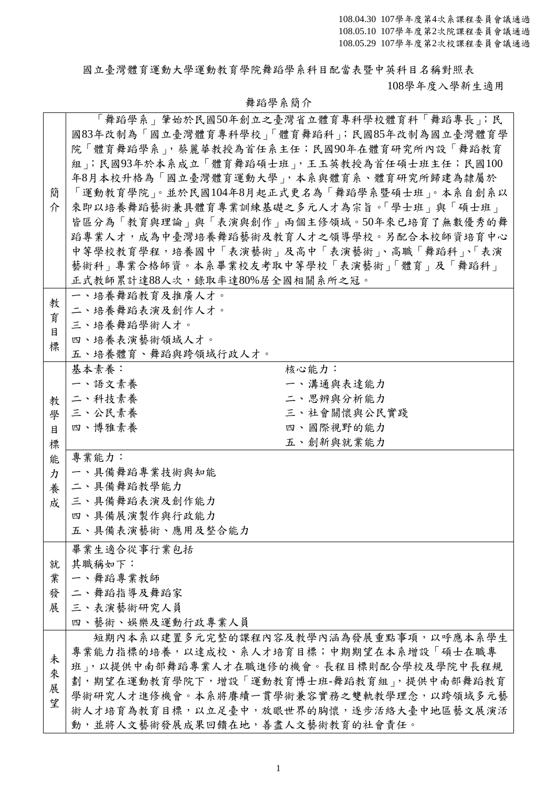國立臺灣體育運動大學運動教育學院舞蹈學系科目配當表暨中英科目名稱對照表

108學年度入學新生適用

|   |                                 | 「舞蹈學系」筆始於民國50年創立之臺灣省立體育專科學校體育科「舞蹈專長」;民     |  |  |  |  |  |  |
|---|---------------------------------|--------------------------------------------|--|--|--|--|--|--|
|   |                                 | 國83年改制為「國立臺灣體育專科學校」「體育舞蹈科」;民國85年改制為國立臺灣體育學 |  |  |  |  |  |  |
|   |                                 | 院「體育舞蹈學系」,蔡麗華教授為首任系主任;民國90年在體育研究所內設「舞蹈教育   |  |  |  |  |  |  |
|   |                                 | 組」;民國93年於本系成立「體育舞蹈碩士班」,王玉英教授為首任碩士班主任;民國100 |  |  |  |  |  |  |
|   |                                 | 年8月本校升格為「國立臺灣體育運動大學」,本系與體育系、體育研究所歸建為隸屬於    |  |  |  |  |  |  |
| 簡 |                                 | 「運動教育學院」。並於民國104年8月起正式更名為「舞蹈學系暨碩士班」。本系自創系以 |  |  |  |  |  |  |
| 介 |                                 | 來即以培養舞蹈藝術兼具體育專業訓練基礎之多元人才為宗旨。「學士班」與「碩士班」    |  |  |  |  |  |  |
|   |                                 | 皆區分為「教育與理論」與「表演與創作」兩個主修領域。50年來已培育了無數優秀的舞   |  |  |  |  |  |  |
|   |                                 | 蹈專業人才,成為中臺灣培養舞蹈藝術及教育人才之領導學校。另配合本校師資培育中心    |  |  |  |  |  |  |
|   |                                 | 中等學校教育學程,培養國中「表演藝術」及高中「表演藝術 」 高職「舞蹈科 」、「表演 |  |  |  |  |  |  |
|   |                                 |                                            |  |  |  |  |  |  |
|   |                                 | 藝術科」專業合格師資。本系畢業校友考取中等學校「表演藝術」「體育」及「舞蹈科」    |  |  |  |  |  |  |
|   | 正式教師累計達88人次,錄取率達80%居全國相關系所之冠。   |                                            |  |  |  |  |  |  |
| 教 | 一、培養舞蹈教育及推廣人才。                  |                                            |  |  |  |  |  |  |
| 育 | 二、培養舞蹈表演及創作人才。                  |                                            |  |  |  |  |  |  |
| 目 | 三、培養舞蹈學術人才。                     |                                            |  |  |  |  |  |  |
| 標 | 四、培養表演藝術領域人才。                   |                                            |  |  |  |  |  |  |
|   | 五、培養體育、舞蹈與跨領域行政人才。              |                                            |  |  |  |  |  |  |
|   | 基本素養:                           | 核心能力:                                      |  |  |  |  |  |  |
|   | 一、語文素養                          | 一、溝通與表達能力                                  |  |  |  |  |  |  |
| 教 | 二、科技素養                          | 二、思辨與分析能力                                  |  |  |  |  |  |  |
| 學 | 三、公民素養                          | 三、社會關懷與公民實踐                                |  |  |  |  |  |  |
| 目 | 四、博雅素養                          | 四、國際視野的能力                                  |  |  |  |  |  |  |
| 標 |                                 | 五、創新與就業能力                                  |  |  |  |  |  |  |
| 能 | 專業能力:                           |                                            |  |  |  |  |  |  |
| 力 | 一、具備舞蹈專業技術與知能                   |                                            |  |  |  |  |  |  |
| 養 | 二、具備舞蹈教學能力                      |                                            |  |  |  |  |  |  |
| 成 | 三、具備舞蹈表演及創作能力                   |                                            |  |  |  |  |  |  |
|   | 四、具備展演製作與行政能力                   |                                            |  |  |  |  |  |  |
|   | 五、具備表演藝術、應用及整合能力                |                                            |  |  |  |  |  |  |
|   |                                 |                                            |  |  |  |  |  |  |
|   | 畢業生適合從事行業包括                     |                                            |  |  |  |  |  |  |
| 就 | 其職稱如下:                          |                                            |  |  |  |  |  |  |
| 業 | 一、舞蹈專業教師                        |                                            |  |  |  |  |  |  |
| 發 | 二、舞蹈指導及舞蹈家                      |                                            |  |  |  |  |  |  |
| 展 | 三、表演藝術研究人員                      |                                            |  |  |  |  |  |  |
|   | 四、藝術、娛樂及運動行政專業人員                |                                            |  |  |  |  |  |  |
|   |                                 | 短期內本系以建置多元完整的課程內容及教學內涵為發展重點事項,以呼應本系學生      |  |  |  |  |  |  |
| 未 |                                 | 專業能力指標的培養,以達成校、系人才培育目標;中期期望在本系增設「碩士在職專     |  |  |  |  |  |  |
| 來 |                                 | 班」,以提供中南部舞蹈專業人才在職進修的機會。長程目標則配合學校及學院中長程規    |  |  |  |  |  |  |
| 展 |                                 | 劃,期望在運動教育學院下,增設「運動教育博士班-舞蹈教育組」,提供中南部舞蹈教育   |  |  |  |  |  |  |
| 望 |                                 | 學術研究人才進修機會。本系將賡續一貫學術兼容實務之雙軌教學理念,以跨領域多元藝    |  |  |  |  |  |  |
|   |                                 | 術人才培育為教育目標,以立足臺中,放眼世界的胸懷,逐步活絡大臺中地區藝文展演活    |  |  |  |  |  |  |
|   | 動,並將人文藝術發展成果回饋在地,善盡人文藝術教育的社會責任。 |                                            |  |  |  |  |  |  |

# 舞蹈學系簡介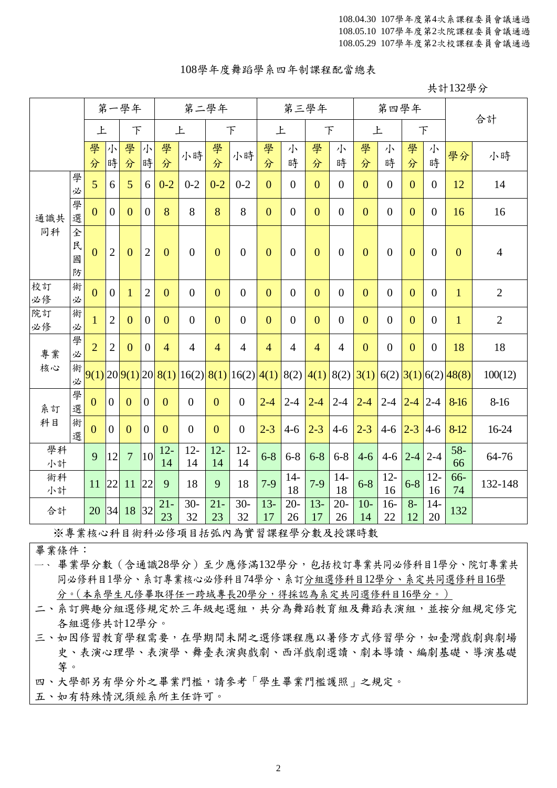#### 108學年度舞蹈學系四年制課程配當總表

共計132學分

|          |                  |                | 第一學年           |                |                | 第二學年           |                                               |                |                  |                | 第三學年                         |                |                | 第四學年           |                  |                |                | 合計                       |                |
|----------|------------------|----------------|----------------|----------------|----------------|----------------|-----------------------------------------------|----------------|------------------|----------------|------------------------------|----------------|----------------|----------------|------------------|----------------|----------------|--------------------------|----------------|
|          |                  | 上              |                | F              |                |                | 上                                             |                | F                |                | 上                            |                | F              | 上              |                  |                | $\top$         |                          |                |
|          |                  | 學<br>分         | 小<br>時         | 學<br>分         | 小<br>時         | 學<br>分         | 小時                                            | 學<br>分         | 小時               | 學<br>分         | 小<br>時                       | 學<br>分         | 小<br>時         | 學<br>分         | 小<br>時           | 學<br>分         | 小<br>時         | 學分                       | 小時             |
|          | 學<br>必           | 5              | 6              | 5              | 6              | $0 - 2$        | $0 - 2$                                       | $0 - 2$        | $0 - 2$          | $\overline{0}$ | $\overline{0}$               | $\overline{0}$ | $\overline{0}$ | $\overline{0}$ | $\overline{0}$   | $\overline{0}$ | $\overline{0}$ | 12                       | 14             |
| 通識共      | 學<br>選           | $\mathbf{0}$   | $\mathbf{0}$   | $\overline{0}$ | $\overline{0}$ | 8              | 8                                             | 8              | 8                | $\overline{0}$ | $\overline{0}$               | $\overline{0}$ | $\mathbf{0}$   | $\overline{0}$ | $\boldsymbol{0}$ | $\overline{0}$ | $\mathbf{0}$   | 16                       | 16             |
| 同科       | 全<br>民<br>國<br>防 | $\overline{0}$ | $\overline{2}$ | $\overline{0}$ | $\overline{2}$ | $\overline{0}$ | $\overline{0}$                                | $\overline{0}$ | $\overline{0}$   | $\overline{0}$ | $\overline{0}$               | $\overline{0}$ | $\theta$       | $\overline{0}$ | $\overline{0}$   | $\overline{0}$ | $\overline{0}$ | $\overline{0}$           | $\overline{4}$ |
| 校訂<br>必修 | 術<br>必           | $\mathbf{0}$   | $\overline{0}$ | $\mathbf{1}$   | $\overline{2}$ | $\overline{0}$ | $\boldsymbol{0}$                              | $\overline{0}$ | $\overline{0}$   | $\overline{0}$ | $\overline{0}$               | $\overline{0}$ | $\mathbf{0}$   | $\overline{0}$ | $\overline{0}$   | $\overline{0}$ | $\mathbf{0}$   | $\mathbf{1}$             | $\overline{2}$ |
| 院訂<br>必修 | 術<br>必           | $\mathbf{1}$   | $\overline{2}$ | $\overline{0}$ | $\mathbf{0}$   | $\overline{0}$ | $\overline{0}$                                | $\overline{0}$ | $\boldsymbol{0}$ | $\overline{0}$ | $\overline{0}$               | $\overline{0}$ | $\overline{0}$ | $\mathbf{0}$   | $\overline{0}$   | $\overline{0}$ | $\overline{0}$ | $\mathbf{1}$             | $\overline{2}$ |
| 專業       | 學<br>必           | $\overline{2}$ | $\overline{2}$ | $\overline{0}$ | $\overline{0}$ | $\overline{4}$ | $\overline{4}$                                | $\overline{4}$ | $\overline{4}$   | $\overline{4}$ | $\overline{4}$               | $\overline{4}$ | $\overline{4}$ | $\mathbf{0}$   | $\boldsymbol{0}$ | $\overline{0}$ | $\overline{0}$ | 18                       | 18             |
| 核心       | 術<br>必           |                |                |                |                |                | $9(1)$  20  $9(1)$  20  $8(1)$  16(2)  $8(1)$ |                | 16(2)            |                | $4(1)$ 8(2) $4(1)$ 8(2) 3(1) |                |                |                |                  |                |                | $6(2)$ 3(1) $6(2)$ 48(8) | 100(12)        |
| 系訂       | 學<br>選           | $\mathbf{0}$   | $\theta$       | $\mathbf{0}$   | $\theta$       | $\overline{0}$ | $\overline{0}$                                | $\overline{0}$ | $\overline{0}$   | $2 - 4$        | $2 - 4$                      | $2 - 4$        | $2 - 4$        | $2 - 4$        | $2-4$ $2-4$      |                | $ 2 - 4 $      | 8-16                     | $8 - 16$       |
| 科目       | 術<br>選           | $\mathbf{0}$   | $\overline{0}$ | $\overline{0}$ | $\mathbf{0}$   | $\overline{0}$ | $\overline{0}$                                | $\overline{0}$ | $\overline{0}$   | $2 - 3$        | $4 - 6$                      | $2 - 3$        | $4 - 6$        | $2 - 3$        | $4 - 6$          | $2 - 3$        | $4-6$          | $8-12$                   | 16-24          |
| 學科<br>小計 |                  | 9              | 12             | $\overline{7}$ | 10             | $12 -$<br>14   | $12 -$<br>14                                  | $12 -$<br>14   | $12 -$<br>14     | $6 - 8$        | $6 - 8$                      | $6 - 8$        | $6 - 8$        | $4 - 6$        |                  | $4-6$ 2-4      | $2 - 4$        | $58-$<br>66              | 64-76          |
| 術科<br>小計 |                  | 11             | 22             | 11             | 22             | 9              | 18                                            | 9              | 18               | $7-9$          | $14-$<br>18                  | $7-9$          | $14-$<br>18    | $6 - 8$        | $12 -$<br>16     | $6 - 8$        | $12 -$<br>16   | 66-<br>74                | 132-148        |
| 合計       |                  | 20             | 34             | 18             | 32             | $21 -$<br>23   | $30-$<br>32                                   | $21 -$<br>23   | $30-$<br>32      | $13-$<br>17    | $20 -$<br>26                 | $13-$<br>17    | $20 -$<br>26   | $10-$<br>14    | $16-$<br>22      | $8-$<br>12     | $14-$<br>20    | 132                      |                |

※專業核心科目術科必修項目括弧內為實習課程學分數及授課時數

畢業條件:

一、 畢業學分數(含通識28學分)至少應修滿132學分,包括校訂專業共同必修科目1學分、院訂專業共 同必修科目1學分、系訂專業核心必修科目74學分、系訂分組選修科目12學分、系定共同選修科目16學 分。(本系學生凡修畢取得任一跨域專長20學分,得採認為系定共同選修科目16學分。)

二、系訂興趣分組選修規定於三年級起選組,共分為舞蹈教育組及舞蹈表演組,並按分組規定修完 各組選修共計12學分。

三、如因修習教育學程需要,在學期間未開之選修課程應以暑修方式修習學分,如臺灣戲劇與劇場 史、表演心理學、表演學、舞臺表演與戲劇、西洋戲劇選讀、劇本導讀、編劇基礎、導演基礎 等。

四、大學部另有學分外之畢業門檻,請參考「學生畢業門檻護照」之規定。

五、如有特殊情況須經系所主任許可。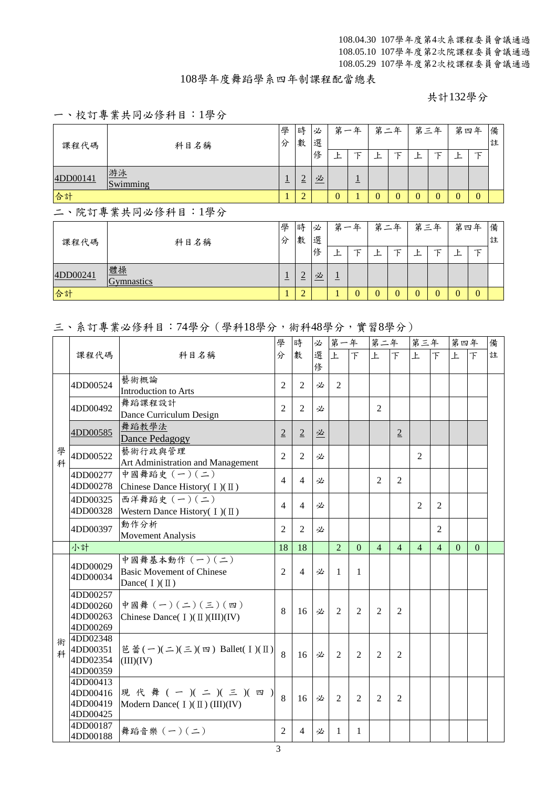#### 108學年度舞蹈學系四年制課程配當總表

共計132學分

### 一、校訂專業共同必修科目:1學分

| 課程代碼     | 科目名稱             |                | 時<br>數         | 必<br>選 |         | 第一年            |                | 第二年 |          | 第三年            |   | 第四年      | 備<br>註 |
|----------|------------------|----------------|----------------|--------|---------|----------------|----------------|-----|----------|----------------|---|----------|--------|
|          |                  |                |                | 俢      | F.      | 下              | Ł              | τ   | F        | 下              | Ŀ | 下        |        |
| 4DD00141 | 游泳<br>Swimming   | $\overline{1}$ | $\overline{2}$ | 必      |         | $\overline{1}$ |                |     |          |                |   |          |        |
| 合計       |                  |                | $\overline{2}$ |        | 0       |                | $\overline{0}$ | 0   | $\theta$ | $\overline{0}$ | 0 | $\theta$ |        |
|          | 二、院訂專業共同必修科目:1學分 |                |                |        |         |                |                |     |          |                |   |          |        |
| 課程代碼     | 科目名稱             | 學<br>分         | 時<br>數         | 必<br>選 |         | 第一年            |                | 第二年 |          | 第三年            |   | 第四年      | 備<br>註 |
|          |                  |                |                | 俢      | Ŀ       | 下              | Ŀ              | τ   | 上        | 下              | Ŀ | 下        |        |
| 4DD00241 | 體操<br>Gymnastics | ±              | $\overline{2}$ | 必      | $\perp$ |                |                |     |          |                |   |          |        |
| 合計       |                  |                | $\overline{2}$ |        | 1       | $\theta$       | $\Omega$       | 0   | $\Omega$ | $\Omega$       | 0 | $\Omega$ |        |

#### 三、系訂專業必修科目:74學分(學科18學分,術科48學分,實習8學分)

|        |                                              |                                                                                                           | 學              | 時              | 必      | 第一年            |                | 第二年            |                | 第三年            |                | 第四年          |          | 備 |
|--------|----------------------------------------------|-----------------------------------------------------------------------------------------------------------|----------------|----------------|--------|----------------|----------------|----------------|----------------|----------------|----------------|--------------|----------|---|
|        | 課程代碼                                         | 科目名稱                                                                                                      | 分              | 數              | 選<br>俢 | 上              | $\top$         | 上              | $\mathcal{F}$  | $\mathsf{F}$   | $\top$         | $\mathbf{F}$ | 下        | 註 |
|        | 4DD00524                                     | 藝術概論<br>Introduction to Arts                                                                              | $\overline{2}$ | $\overline{2}$ | 必      | $\overline{2}$ |                |                |                |                |                |              |          |   |
|        | 4DD00492                                     | 舞蹈課程設計<br>Dance Curriculum Design                                                                         | $\overline{2}$ | $\overline{2}$ | 必      |                |                | $\overline{2}$ |                |                |                |              |          |   |
|        | 4DD00585                                     | 舞蹈教學法<br>Dance Pedagogy                                                                                   | $\overline{2}$ | $\overline{2}$ | 必      |                |                |                | $\overline{2}$ |                |                |              |          |   |
| 學<br>科 | 4DD00522                                     | 藝術行政與管理<br>Art Administration and Management                                                              | $\overline{2}$ | $\overline{2}$ | 必      |                |                |                |                | 2              |                |              |          |   |
|        | 4DD00277<br>4DD00278                         | 中國舞蹈史 (一)(二)<br>Chinese Dance History( I)(II)                                                             | $\overline{4}$ | $\overline{4}$ | 必      |                |                | $\overline{2}$ | $\overline{2}$ |                |                |              |          |   |
|        | 4DD00325<br>4DD00328                         | 西洋舞蹈史 (一)(二)<br>Western Dance History( $I)(II)$ )                                                         | $\overline{4}$ | $\overline{4}$ | 必      |                |                |                |                | $\overline{2}$ | $\overline{2}$ |              |          |   |
|        | 4DD00397                                     | 動作分析<br><b>Movement Analysis</b>                                                                          | $\overline{2}$ | 2              | 必      |                |                |                |                |                | $\overline{2}$ |              |          |   |
|        | 小計                                           |                                                                                                           | 18             | 18             |        | $\overline{2}$ | $\theta$       | $\overline{4}$ | $\overline{4}$ | $\overline{4}$ | $\overline{4}$ | $\Omega$     | $\Omega$ |   |
|        | 4DD00029<br>4DD00034                         | 中國舞基本動作 (一)(二)<br><b>Basic Movement of Chinese</b><br>Dance( $I)(II)$ )                                   | $\overline{2}$ | $\overline{4}$ | 必      | $\mathbf{1}$   | 1              |                |                |                |                |              |          |   |
|        | 4DD00257<br>4DD00260<br>4DD00263<br>4DD00269 | 中國舞 (一)(二)(三)(四)<br>Chinese Dance( $I)(II)(III)(IV)$                                                      | 8              | 16             | 必      | $\mathfrak{D}$ | $\mathfrak{D}$ | $\mathfrak{D}$ | $\overline{2}$ |                |                |              |          |   |
| 術<br>科 | 4DD02348<br>4DD00351<br>4DD02354<br>4DD00359 | 芭蕾 $(-)(\rightharpoonup)(\rightharpoonup)(\rightharpoonup)(\rightharpoonup)$ Ballet( I )(II)<br>(III)(IV) | 8              | 16             | 必      | 2              | 2              | 2              | $\overline{2}$ |                |                |              |          |   |
|        | 4DD00413<br>4DD00416<br>4DD00419<br>4DD00425 | 現代舞 (一)(二)(三)(四)<br>Modern Dance( I )( II ) (III)(IV)                                                     | 8              | 16             | 必      | $\mathfrak{D}$ | $\mathfrak{D}$ | $\mathfrak{D}$ | $\mathfrak{D}$ |                |                |              |          |   |
|        | 4DD00187<br>4DD00188                         | 舞蹈音樂 (一)(二)                                                                                               | 2              | 4              | 必      | 1              | 1              |                |                |                |                |              |          |   |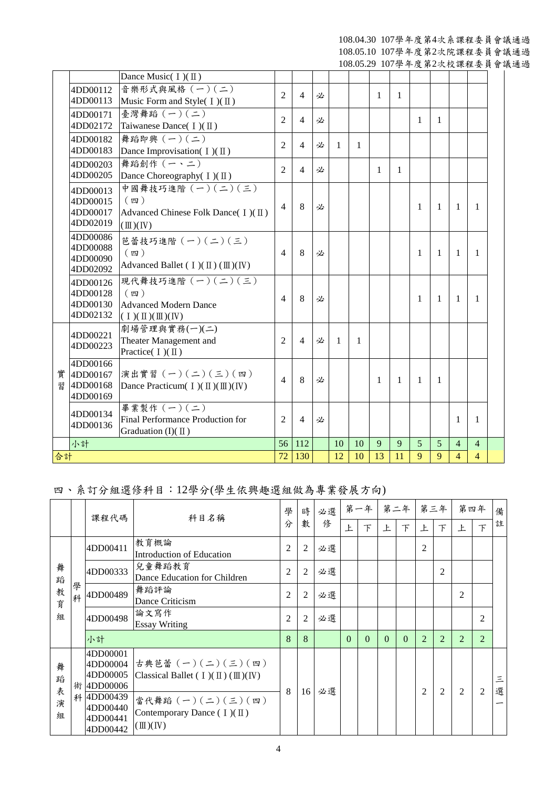108.04.30 107學年度第4次系課程委員會議通過 108.05.10 107學年度第2次院課程委員會議通過

108.05.29 107學年度第2次校課程委員會議通過

|    |                      | Dance Music( $I)(II)$                                                      |                |                |   |              |    |              |              |                |              |                |                |  |
|----|----------------------|----------------------------------------------------------------------------|----------------|----------------|---|--------------|----|--------------|--------------|----------------|--------------|----------------|----------------|--|
|    | 4DD00112             | 音樂形式與風格 (一)(二)                                                             |                |                |   |              |    |              |              |                |              |                |                |  |
|    | 4DD00113             | Music Form and Style( $I)(II)$                                             | $\overline{2}$ | $\overline{4}$ | 必 |              |    | $\mathbf{1}$ | 1            |                |              |                |                |  |
|    | 4DD00171             | 臺灣舞蹈 (一)(二)                                                                | $\overline{2}$ | $\overline{4}$ | 必 |              |    |              |              | $\mathbf{1}$   | $\mathbf{1}$ |                |                |  |
|    | 4DD02172             | Taiwanese Dance( $I)(II)$                                                  |                |                |   |              |    |              |              |                |              |                |                |  |
|    | 4DD00182             | 舞蹈即興 (一)(二)                                                                | 2              | $\overline{4}$ | 必 | 1            | 1  |              |              |                |              |                |                |  |
|    | 4DD00183             | Dance Improvisation( $I)(II)$ )                                            |                |                |   |              |    |              |              |                |              |                |                |  |
|    | 4DD00203             | 舞蹈創作 (一、二)                                                                 | 2              | $\overline{4}$ | 必 |              |    | $\mathbf{1}$ | 1            |                |              |                |                |  |
|    | 4DD00205             | Dance Choreography( I)(II)                                                 |                |                |   |              |    |              |              |                |              |                |                |  |
|    | 4DD00013             | 中國舞技巧進階 (一) (二) (三)<br>(四)                                                 |                |                |   |              |    |              |              |                |              |                |                |  |
|    | 4DD00015<br>4DD00017 | Advanced Chinese Folk Dance( I)(II)                                        | $\overline{4}$ | 8              | 必 |              |    |              |              | $\mathbf{1}$   | $\mathbf{1}$ | 1              | $\mathbf{1}$   |  |
|    | 4DD02019             | $(\mathbb{II})(\mathbb{N})$                                                |                |                |   |              |    |              |              |                |              |                |                |  |
|    | 4DD00086             | 芭蕾技巧進階 (一)(二)(三)                                                           |                |                |   |              |    |              |              |                |              |                |                |  |
|    | 4DD00088             | $(\n$ 四 )                                                                  | 4              | 8              | 必 |              |    |              |              | 1              | $\mathbf{1}$ | $\mathbf{1}$   | $\mathbf{1}$   |  |
|    | 4DD00090             | Advanced Ballet ( $I$ )( $\mathbb{II}$ )( $\mathbb{II}$ )( $\mathbb{IV}$ ) |                |                |   |              |    |              |              |                |              |                |                |  |
|    | 4DD02092             |                                                                            |                |                |   |              |    |              |              |                |              |                |                |  |
|    | 4DD00126             | 現代舞技巧進階 $(-)(-)(\leq)(\leq)$                                               |                |                |   |              |    |              |              |                |              |                |                |  |
|    | 4DD00128<br>4DD00130 | $(\n$ 四 )<br><b>Advanced Modern Dance</b>                                  | 4              | 8              | 必 |              |    |              |              | 1              | $\mathbf{1}$ | 1              | 1              |  |
|    | 4DD02132             | $(1)(\mathbb{I})(\mathbb{I})(\mathbb{N})$                                  |                |                |   |              |    |              |              |                |              |                |                |  |
|    |                      | 劇場管理與實務(一)(二)                                                              |                |                |   |              |    |              |              |                |              |                |                |  |
|    | 4DD00221             | Theater Management and                                                     | $\overline{2}$ | $\overline{4}$ | 必 | $\mathbf{1}$ | 1  |              |              |                |              |                |                |  |
|    | 4DD00223             | Practice( $I)(II)$                                                         |                |                |   |              |    |              |              |                |              |                |                |  |
|    | 4DD00166             |                                                                            |                |                |   |              |    |              |              |                |              |                |                |  |
| 實  | 4DD00167             | 演出實習 (一)(二)(三)(四)                                                          | $\overline{4}$ | 8              | 必 |              |    | $\mathbf{1}$ | $\mathbf{1}$ | $\overline{1}$ | -1           |                |                |  |
| 習  | 4DD00168<br>4DD00169 | Dance Practicum( $I$ )( $\mathbb{II}$ )( $\mathbb{II}$ )( $\mathbb{IV}$ )  |                |                |   |              |    |              |              |                |              |                |                |  |
|    |                      | 畢業製作 (一) (二)                                                               |                |                |   |              |    |              |              |                |              |                |                |  |
|    | 4DD00134             | Final Performance Production for                                           | $\overline{2}$ | $\overline{4}$ | 必 |              |    |              |              |                |              | 1              | $\mathbf{1}$   |  |
|    | 4DD00136             | Graduation (I)( $\Pi$ )                                                    |                |                |   |              |    |              |              |                |              |                |                |  |
|    | 小計                   |                                                                            | 56             | 112            |   | 10           | 10 | 9            | 9            | 5              | 5            | $\overline{4}$ | $\overline{4}$ |  |
| 合計 |                      |                                                                            | 72             | 130            |   | 12           | 10 | 13           | 11           | 9              | 9            | $\overline{4}$ | $\overline{4}$ |  |

## 四、系訂分組選修科目:12學分(學生依興趣選組做為專業發展方向)

|                       |        | 課程代碼<br>科目名稱                                                                                 | 學                                                                                                                                                                                                    | 時              | 必選             |    | 第一年      |          | 第二年 | 第三年      |                | 第四年            |                | 備              |        |
|-----------------------|--------|----------------------------------------------------------------------------------------------|------------------------------------------------------------------------------------------------------------------------------------------------------------------------------------------------------|----------------|----------------|----|----------|----------|-----|----------|----------------|----------------|----------------|----------------|--------|
|                       |        |                                                                                              |                                                                                                                                                                                                      | 分              | 數              | 俢  | 上        | $\top$   | 上   | $\top$   | 上              | $\top$         | 上              | 下              | 註      |
|                       |        | 4DD00411                                                                                     | 教育概論<br>Introduction of Education                                                                                                                                                                    | 2              | 2              | 必選 |          |          |     |          | 2              |                |                |                |        |
| 舞<br>蹈                |        | 4DD00333                                                                                     | 兒童舞蹈教育<br>Dance Education for Children                                                                                                                                                               | $\overline{2}$ | 2              | 必選 |          |          |     |          |                | $\overline{2}$ |                |                |        |
| 教<br>育                | 學<br>科 | 4DD00489                                                                                     | 舞蹈評論<br>Dance Criticism                                                                                                                                                                              | $\overline{2}$ | $\overline{2}$ | 必選 |          |          |     |          |                |                | 2              |                |        |
| 組                     |        | 4DD00498                                                                                     | 論文寫作<br><b>Essay Writing</b>                                                                                                                                                                         | $\overline{2}$ | 2              | 必選 |          |          |     |          |                |                |                | $\overline{c}$ |        |
|                       |        | 小計                                                                                           |                                                                                                                                                                                                      | 8              | 8              |    | $\Omega$ | $\Omega$ | 0   | $\Omega$ | $\overline{2}$ | $\overline{2}$ | $\overline{2}$ | $\overline{2}$ |        |
| 舞<br>蹈<br>表<br>演<br>組 | 術<br>科 | 4DD00001<br>4DD00004<br>4DD00005<br>4DD00006<br>4DD00439<br>4DD00440<br>4DD00441<br>4DD00442 | 古典芭蕾 (一)(二)(三)(四)<br>Classical Ballet ( $I$ )( $\mathbb{I}$ )( $\mathbb{I}$ )( $\mathbb{I}$ )( $\mathbb{I}$ ))<br>當代舞蹈 (一)(二)(三)(四)<br>Contemporary Dance $( I)(\Pi)$<br>$(\mathbb{II})(\mathbb{N})$ | 8              | 16             | 必選 |          |          |     |          | $\overline{2}$ | 2              | $\overline{2}$ | 2              | 三<br>選 |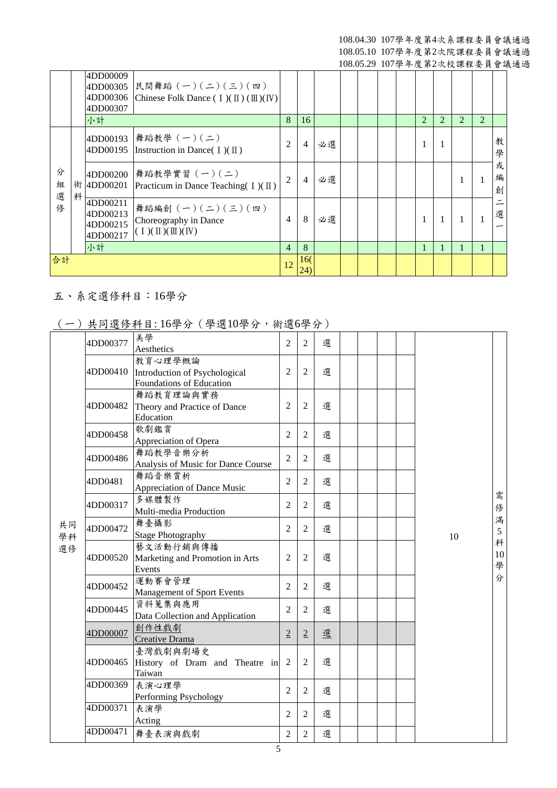|             |   | 4DD00009<br>4DD00305<br>4DD00306<br>4DD00307 | 民間舞蹈 (一)(二)(三)(四)<br>Chinese Folk Dance $(I)(\mathbb{I})(\mathbb{I})(\mathbb{N})$                          |                |                |    |  |  |                             |                |   |                             |             |
|-------------|---|----------------------------------------------|------------------------------------------------------------------------------------------------------------|----------------|----------------|----|--|--|-----------------------------|----------------|---|-----------------------------|-------------|
|             |   | 小計                                           |                                                                                                            | 8              | 16             |    |  |  | $\mathcal{D}_{\mathcal{L}}$ | $\overline{2}$ | 2 | $\mathcal{D}_{\mathcal{L}}$ |             |
|             |   | 4DD00193<br>4DD00195                         | 舞蹈教學 (一)(二)<br>Instruction in Dance( $\mathbb{I}$ )( $\mathbb{II}$ )                                       | $\overline{2}$ | $\overline{4}$ | 必選 |  |  |                             |                |   |                             | 教<br>學      |
| 分<br>組<br>選 | 科 | 4DD00200<br>術 4DD00201                       | 舞蹈教學實習 (一)(二)<br>Practicum in Dance Teaching $(1)(1)$                                                      | $\mathfrak{D}$ | 4              | 必選 |  |  |                             |                |   |                             | 或<br>編<br>創 |
| 修           |   | 4DD00211<br>4DD00213<br>4DD00215<br>4DD00217 | 舞蹈編創 $(-)(-)(-)(\leq)(\mathfrak{m})$<br>Choreography in Dance<br>$(1)(\mathbb{I})(\mathbb{I})(\mathbb{N})$ | $\overline{4}$ | 8              | 必選 |  |  |                             |                |   |                             | 選           |
|             |   | 小計                                           |                                                                                                            | $\overline{4}$ | 8              |    |  |  | 1                           |                | 1 |                             |             |
| 合計          |   |                                              |                                                                                                            | 12             | 16(<br>(24)    |    |  |  |                             |                |   |                             |             |

# 五、系定選修科目:16學分

## (一)共同選修科目: 16學分(學選10學分,術選6學分)

|          | <b>ハ・マーニ</b> ウィー | $-1.2$                                                               |                |                |   |  |  |    |              |
|----------|------------------|----------------------------------------------------------------------|----------------|----------------|---|--|--|----|--------------|
|          | 4DD00377         | 美學<br>Aesthetics                                                     | $\overline{2}$ | $\overline{2}$ | 選 |  |  |    |              |
|          | 4DD00410         | 教育心理學概論<br>Introduction of Psychological<br>Foundations of Education | $\overline{2}$ | $\overline{2}$ | 選 |  |  |    |              |
|          | 4DD00482         | 舞蹈教育理論與實務<br>Theory and Practice of Dance<br>Education               | $\overline{2}$ | $\overline{2}$ | 選 |  |  |    |              |
|          | 4DD00458         | 歌劇鑑賞<br>Appreciation of Opera                                        | $\overline{2}$ | $\overline{2}$ | 選 |  |  |    |              |
|          | 4DD00486         | 舞蹈教學音樂分析<br>Analysis of Music for Dance Course                       | $\overline{2}$ | 2              | 選 |  |  |    |              |
|          | 4DD0481          | 舞蹈音樂賞析<br>Appreciation of Dance Music                                | $\overline{2}$ | $\overline{2}$ | 選 |  |  |    |              |
|          | 4DD00317         | 多媒體製作<br>Multi-media Production                                      | $\overline{2}$ | $\overline{2}$ | 選 |  |  |    | 需<br>俢       |
| 共同<br>學科 | 4DD00472         | 舞臺攝影<br><b>Stage Photography</b>                                     | $\overline{2}$ | 2              | 選 |  |  | 10 | 滿<br>5       |
| 選修       | 4DD00520         | 藝文活動行銷與傳播<br>Marketing and Promotion in Arts<br>Events               | $\overline{2}$ | $\overline{2}$ | 選 |  |  |    | 科<br>10<br>學 |
|          | 4DD00452         | 運動賽會管理<br>Management of Sport Events                                 | $\overline{2}$ | 2              | 選 |  |  |    | 分            |
|          | 4DD00445         | 資料蒐集與應用<br>Data Collection and Application                           | $\overline{2}$ | $\overline{2}$ | 選 |  |  |    |              |
|          | 4DD00007         | 創作性戲劇<br>Creative Drama                                              | $\overline{2}$ | $\overline{2}$ | 選 |  |  |    |              |
|          | 4DD00465         | 臺灣戲劇與劇場史<br>History of Dram and Theatre in<br>Taiwan                 | $\overline{2}$ | $\overline{2}$ | 選 |  |  |    |              |
|          | 4DD00369         | 表演心理學<br>Performing Psychology                                       | $\overline{2}$ | $\overline{2}$ | 選 |  |  |    |              |
|          | 4DD00371         | 表演學<br>Acting                                                        | $\overline{2}$ | 2              | 選 |  |  |    |              |
|          | 4DD00471         | 舞臺表演與戲劇                                                              | $\overline{2}$ | $\overline{2}$ | 選 |  |  |    |              |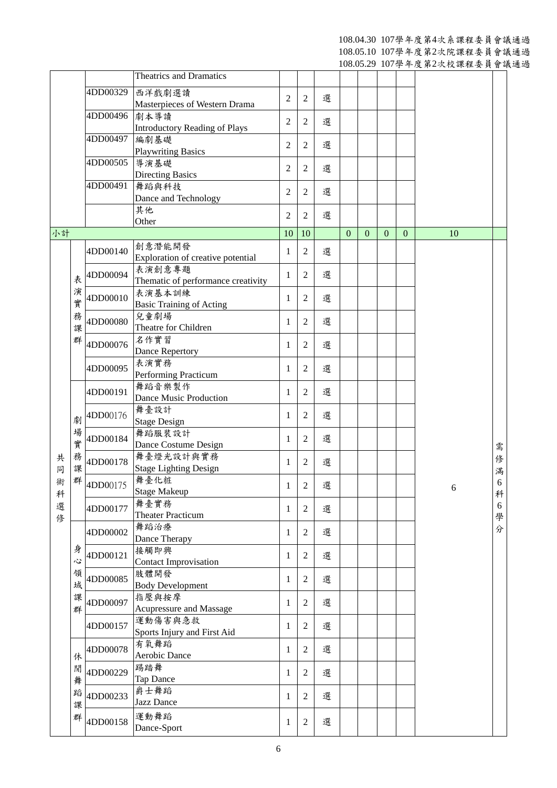108.04.30 107學年度第4次系課程委員會議通過

108.05.10 107學年度第2次院課程委員會議通過

108.05.29 107學年度第2次校課程委員會議通過

|        |   |          |                                      |                |                |   |                |          |              |              | 父孙兰人以叫上文六日呶 |        |
|--------|---|----------|--------------------------------------|----------------|----------------|---|----------------|----------|--------------|--------------|-------------|--------|
|        |   |          | <b>Theatrics and Dramatics</b>       |                |                |   |                |          |              |              |             |        |
|        |   | 4DD00329 | 西洋戲劇選讀                               |                |                |   |                |          |              |              |             |        |
|        |   |          | Masterpieces of Western Drama        | $\overline{2}$ | $\overline{2}$ | 選 |                |          |              |              |             |        |
|        |   | 4DD00496 | 劇本導讀                                 |                |                |   |                |          |              |              |             |        |
|        |   |          | <b>Introductory Reading of Plays</b> | $\overline{2}$ | $\overline{2}$ | 選 |                |          |              |              |             |        |
|        |   | 4DD00497 | 編劇基礎                                 | $\overline{2}$ |                | 選 |                |          |              |              |             |        |
|        |   |          | <b>Playwriting Basics</b>            |                | $\overline{2}$ |   |                |          |              |              |             |        |
|        |   | 4DD00505 | 導演基礎                                 | $\overline{2}$ | $\mathfrak{2}$ | 選 |                |          |              |              |             |        |
|        |   |          | <b>Directing Basics</b>              |                |                |   |                |          |              |              |             |        |
|        |   | 4DD00491 | 舞蹈與科技                                | $\overline{2}$ | $\overline{2}$ | 選 |                |          |              |              |             |        |
|        |   |          | Dance and Technology                 |                |                |   |                |          |              |              |             |        |
|        |   |          | 其他                                   | $\overline{2}$ | $\overline{2}$ | 選 |                |          |              |              |             |        |
|        |   |          | Other                                |                |                |   |                |          |              |              |             |        |
| 小計     |   |          |                                      | 10             | 10             |   | $\overline{0}$ | $\Omega$ | $\mathbf{0}$ | $\mathbf{0}$ | 10          |        |
|        |   | 4DD00140 | 創意潛能開發                               | 1              | $\mathfrak{2}$ | 選 |                |          |              |              |             |        |
|        |   |          | Exploration of creative potential    |                |                |   |                |          |              |              |             |        |
|        |   | 4DD00094 | 表演創意專題                               | 1              | $\overline{2}$ | 選 |                |          |              |              |             |        |
|        | 表 |          | Thematic of performance creativity   |                |                |   |                |          |              |              |             |        |
|        | 演 | 4DD00010 | 表演基本訓練                               | 1              | $\overline{2}$ | 選 |                |          |              |              |             |        |
|        | 實 |          | <b>Basic Training of Acting</b>      |                |                |   |                |          |              |              |             |        |
|        | 務 | 4DD00080 | 兒童劇場                                 | 1              | 2              | 選 |                |          |              |              |             |        |
|        | 課 |          | Theatre for Children                 |                |                |   |                |          |              |              |             |        |
|        | 群 | 4DD00076 | 名作實習                                 | 1              | $\overline{2}$ | 選 |                |          |              |              |             |        |
|        |   |          | Dance Repertory                      |                |                |   |                |          |              |              |             |        |
|        |   | 4DD00095 | 表演實務                                 | 1              | $\overline{2}$ | 選 |                |          |              |              |             |        |
|        |   |          | Performing Practicum                 |                |                |   |                |          |              |              |             |        |
|        |   | 4DD00191 | 舞蹈音樂製作                               | 1              | $\overline{2}$ | 選 |                |          |              |              |             |        |
|        |   |          | Dance Music Production               |                |                |   |                |          |              |              |             |        |
|        | 劇 | 4DD00176 | 舞臺設計                                 | 1              | $\overline{2}$ | 選 |                |          |              |              |             |        |
|        | 場 |          | <b>Stage Design</b>                  |                |                |   |                |          |              |              |             |        |
|        | 實 | 4DD00184 | 舞蹈服装設計<br>Dance Costume Design       | 1              | $\overline{2}$ | 選 |                |          |              |              |             |        |
|        | 務 |          | 舞臺燈光設計與實務                            |                |                |   |                |          |              |              |             | 需      |
| 共<br>同 | 課 | 4DD00178 | <b>Stage Lighting Design</b>         | 1              | 2              | 選 |                |          |              |              |             | 俢      |
|        | 群 |          | 舞臺化粧                                 |                |                |   |                |          |              |              |             | 滿      |
| 術      |   | 4DD00175 | <b>Stage Makeup</b>                  | 1              | $\sqrt{2}$     | 選 |                |          |              |              | 6           | 6      |
| 科      |   |          | 舞臺實務                                 |                |                |   |                |          |              |              |             | 科      |
| 選      |   | 4DD00177 | <b>Theater Practicum</b>             | 1              | $\overline{2}$ | 選 |                |          |              |              |             | 6<br>學 |
| 修      |   |          | 舞蹈治療                                 |                |                |   |                |          |              |              |             | 分      |
|        |   | 4DD00002 | Dance Therapy                        | 1              | 2              | 選 |                |          |              |              |             |        |
|        | 身 |          | 接觸即興                                 |                |                |   |                |          |              |              |             |        |
|        | 心 | 4DD00121 | <b>Contact Improvisation</b>         | 1              | 2              | 選 |                |          |              |              |             |        |
|        | 領 |          | 肢體開發                                 |                |                |   |                |          |              |              |             |        |
|        | 域 | 4DD00085 | <b>Body Development</b>              | 1              | $\overline{2}$ | 選 |                |          |              |              |             |        |
|        | 課 |          | 指壓與按摩                                |                |                |   |                |          |              |              |             |        |
|        | 群 | 4DD00097 | Acupressure and Massage              | 1              | $\overline{2}$ | 選 |                |          |              |              |             |        |
|        |   |          | 運動傷害與急救                              |                |                |   |                |          |              |              |             |        |
|        |   | 4DD00157 | Sports Injury and First Aid          | 1              | $\overline{2}$ | 選 |                |          |              |              |             |        |
|        |   | 4DD00078 | 有氧舞蹈                                 |                | $\mathfrak{2}$ | 選 |                |          |              |              |             |        |
|        | 休 |          | Aerobic Dance                        | 1              |                |   |                |          |              |              |             |        |
|        | 閒 | 4DD00229 | 踢踏舞                                  | 1              | $\overline{2}$ | 選 |                |          |              |              |             |        |
|        | 舞 |          | Tap Dance                            |                |                |   |                |          |              |              |             |        |
|        | 蹈 | 4DD00233 | 爵士舞蹈                                 | 1              | $\overline{2}$ | 選 |                |          |              |              |             |        |
|        | 課 |          | <b>Jazz Dance</b>                    |                |                |   |                |          |              |              |             |        |
|        | 群 | 4DD00158 | 運動舞蹈                                 |                |                |   |                |          |              |              |             |        |
|        |   |          | Dance-Sport                          | 1              | $\overline{2}$ | 選 |                |          |              |              |             |        |